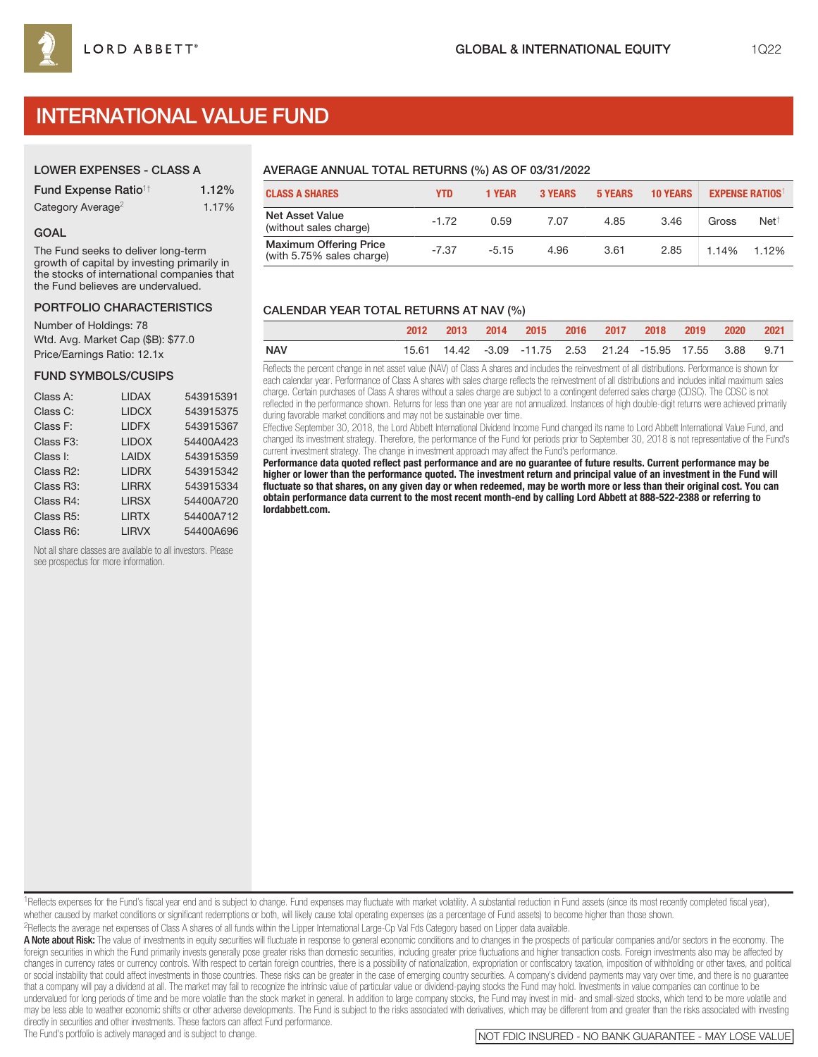# INTERNATIONAL VALUE FUND

|  | <b>LOWER EXPENSES - CLASS A</b> |  |
|--|---------------------------------|--|
|--|---------------------------------|--|

| <b>Fund Expense Ratio<sup>1†</sup></b> | 1.12% |
|----------------------------------------|-------|
| Category Average <sup>2</sup>          | 1.17% |

#### GOAL

The Fund seeks to deliver long-term growth of capital by investing primarily in the stocks of international companies that the Fund believes are undervalued.

#### PORTFOLIO CHARACTERISTICS

Number of Holdings: 78 Wtd. Avg. Market Cap (\$B): \$77.0 Price/Earnings Ratio: 12.1x

#### FUND SYMBOLS/CUSIPS

| Class A:               | <b>LIDAX</b> | 543915391 |
|------------------------|--------------|-----------|
| Class C:               | <b>LIDCX</b> | 543915375 |
| Class F:               | <b>LIDFX</b> | 543915367 |
| Class F <sub>3</sub> : | <b>LIDOX</b> | 54400A423 |
| Class I:               | <b>LAIDX</b> | 543915359 |
| Class R2:              | <b>LIDRX</b> | 543915342 |
| Class R <sub>3</sub> : | <b>LIRRX</b> | 543915334 |
| Class R4:              | <b>LIRSX</b> | 54400A720 |
| Class R5:              | <b>LIRTX</b> | 54400A712 |
| Class R6:              | <b>LIRVX</b> | 54400A696 |

Not all share classes are available to all investors. Please see prospectus for more information.

# AVERAGE ANNUAL TOTAL RETURNS (%) AS OF 03/31/2022

| <b>CLASS A SHARES</b>                                      | YTD.    | 1 YEAR  | <b>3 YEARS</b> | <b>5 YEARS</b> | <b>10 YEARS</b> |       | <b>EXPENSE RATIOS</b> |
|------------------------------------------------------------|---------|---------|----------------|----------------|-----------------|-------|-----------------------|
| <b>Net Asset Value</b><br>(without sales charge)           | $-1.72$ | 0.59    | 7.07           | 4.85           | 3.46            | Gross | $Net^{\dagger}$       |
| <b>Maximum Offering Price</b><br>(with 5.75% sales charge) | $-7.37$ | $-5.15$ | 4.96           | 3.61           | 2.85            | 1.14% | 1.12%                 |

## CALENDAR YEAR TOTAL RETURNS AT NAV (%)

|            |  | 2013 2014 2015 2016 2017 2018 2019 2020                             |  |  | 2021 |
|------------|--|---------------------------------------------------------------------|--|--|------|
| <b>NAV</b> |  | 15.61  14.42  -3.09  -11.75  2.53  21.24  -15.95  17.55  3.88  9.71 |  |  |      |

Reflects the percent change in net asset value (NAV) of Class A shares and includes the reinvestment of all distributions. Performance is shown for each calendar year. Performance of Class A shares with sales charge reflects the reinvestment of all distributions and includes initial maximum sales charge. Certain purchases of Class A shares without a sales charge are subject to a contingent deferred sales charge (CDSC). The CDSC is not reflected in the performance shown. Returns for less than one year are not annualized. Instances of high double-digit returns were achieved primarily during favorable market conditions and may not be sustainable over time.

Effective September 30, 2018, the Lord Abbett International Dividend Income Fund changed its name to Lord Abbett International Value Fund, and changed its investment strategy. Therefore, the performance of the Fund for periods prior to September 30, 2018 is not representative of the Fund's current investment strategy. The change in investment approach may affect the Fund's performance.

**Performance data quoted reflect past performance and are no guarantee of future results. Current performance may be higher or lower than the performance quoted. The investment return and principal value of an investment in the Fund will fluctuate so that shares, on any given day or when redeemed, may be worth more or less than their original cost. You can obtain performance data current to the most recent month-end by calling Lord Abbett at 888-522-2388 or referring to lordabbett.com.**

<sup>1</sup>Reflects expenses for the Fund's fiscal year end and is subject to change. Fund expenses may fluctuate with market volatility. A substantial reduction in Fund assets (since its most recently completed fiscal year), whether caused by market conditions or significant redemptions or both, will likely cause total operating expenses (as a percentage of Fund assets) to become higher than those shown.

2Reflects the average net expenses of Class A shares of all funds within the Lipper International Large-Cp Val Fds Category based on Lipper data available.

A Note about Risk: The value of investments in equity securities will fluctuate in response to general economic conditions and to changes in the prospects of particular companies and/or sectors in the economy. The foreign securities in which the Fund primarily invests generally pose greater risks than domestic securities, including greater price fluctuations and higher transaction costs. Foreign investments also may be affected by changes in currency rates or currency controls. With respect to certain foreign countries, there is a possibility of nationalization, expropriation or confiscatory taxation, imposition of withholding or other taxes, and po or social instability that could affect investments in those countries. These risks can be greater in the case of emerging country securities. A company's dividend payments may vary over time, and there is no guarantee that a company will pay a dividend at all. The market may fail to recognize the intrinsic value of particular value or dividend-paying stocks the Fund may hold. Investments in value companies can continue to be undervalued for long periods of time and be more volatile than the stock market in general. In addition to large company stocks, the Fund may invest in mid- and small-sized stocks, which tend to be more volatile and may be less able to weather economic shifts or other adverse developments. The Fund is subject to the risks associated with derivatives, which may be different from and greater than the risks associated with investing directly in securities and other investments. These factors can affect Fund performance.<br>The Fund's portfolio is actively managed and is subject to change.